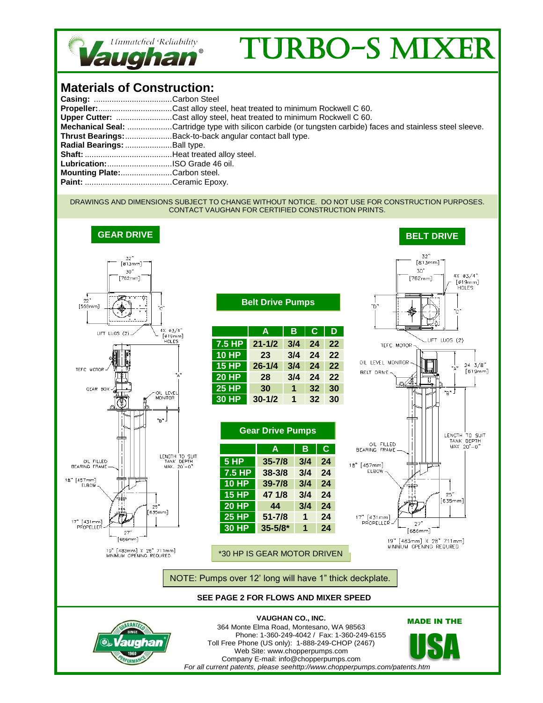

## TURBO-S MIX

## **Materials of Construction:**

| Casing: Carbon Steel           |                                                                                                                     |  |  |  |  |
|--------------------------------|---------------------------------------------------------------------------------------------------------------------|--|--|--|--|
|                                |                                                                                                                     |  |  |  |  |
|                                | Upper Cutter: Cast alloy steel, heat treated to minimum Rockwell C 60.                                              |  |  |  |  |
|                                | <b>Mechanical Seal:</b> Cartridge type with silicon carbide (or tungsten carbide) faces and stainless steel sleeve. |  |  |  |  |
|                                | <b>Thrust Bearings:</b> Back-to-back angular contact ball type.                                                     |  |  |  |  |
| Radial Bearings: Ball type.    |                                                                                                                     |  |  |  |  |
|                                |                                                                                                                     |  |  |  |  |
| Lubrication: ISO Grade 46 oil. |                                                                                                                     |  |  |  |  |
| Mounting Plate:Carbon steel.   |                                                                                                                     |  |  |  |  |
|                                |                                                                                                                     |  |  |  |  |

## DRAWINGS AND DIMENSIONS SUBJECT TO CHANGE WITHOUT NOTICE. DO NOT USE FOR CONSTRUCTION PURPOSES. CONTACT VAUGHAN FOR CERTIFIED CONSTRUCTION PRINTS.